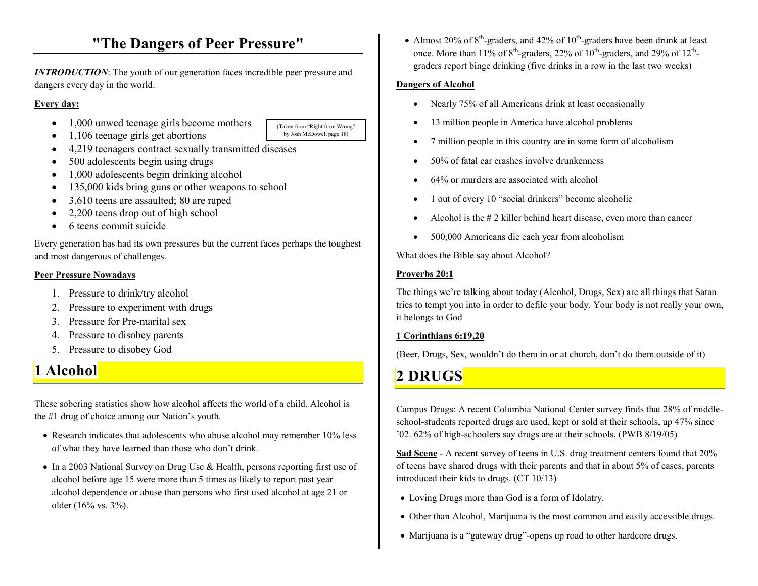# **"The Dangers of Peer Pressure"**

*INTRODUCTION:* The youth of our generation faces incredible peer pressure and dangers every day in the world.

#### **Every day:**

•1,000 unwed teenage girls become mothers

(Taken from "Right from Wrong" by Josh McDowell page 18)

- •1,106 teenage girls get abortions
- 4,219 teenagers contract sexually transmitted diseases
- 500 adolescents begin using drugs
- $\bullet$ 1,000 adolescents begin drinking alcohol
- •135,000 kids bring guns or other weapons to school
- •3,610 teens are assaulted; 80 are raped
- •2,200 teens drop out of high school
- $\bullet$ 6 teens commit suicide

Every generation has had its own pressures but the current faces perhaps the toughest and most dangerous of challenges.

### **Peer Pressure Nowadays**

- 1. Pressure to drink/try alcohol
- 2. Pressure to experiment with drugs
- 3. Pressure for Pre-marital sex
- 4. Pressure to disobey parents
- 5. Pressure to disobey God

# **1 Alcohol**

These sobering statistics show how alcohol affects the world of a child. Alcohol is the #1 drug of choice among our Nation's youth.

- Research indicates that adolescents who abuse alcohol may remember 10% less of what they have learned than those who don't drink.
- In a 2003 National Survey on Drug Use & Health, persons reporting first use of alcohol before age 15 were more than 5 times as likely to report past year alcohol dependence or abuse than persons who first used alcohol at age 21 or older (16% vs. 3%).

• Almost 20% of  $8<sup>th</sup>$ -graders, and 42% of  $10<sup>th</sup>$ -graders have been drunk at least once. More than 11% of  $8<sup>th</sup>$ -graders, 22% of 10<sup>th</sup>-graders, and 29% of 12<sup>th</sup>graders report binge drinking (five drinks in a row in the last two weeks)

### **Dangers of Alcohol**

- •Nearly 75% of all Americans drink at least occasionally
- •13 million people in America have alcohol problems
- •7 million people in this country are in some form of alcoholism
- •50% of fatal car crashes involve drunkenness
- •64% or murders are associated with alcohol
- •1 out of every 10 "social drinkers" become alcoholic
- •Alcohol is the # 2 killer behind heart disease, even more than cancer
- •500,000 Americans die each year from alcoholism

What does the Bible say about Alcohol?

# **Proverbs 20:1**

The things we're talking about today (Alcohol, Drugs, Sex) are all things that Satan tries to tempt you into in order to defile your body. Your body is not really your own, it belongs to God

# **1 Corinthians 6:19,20**

(Beer, Drugs, Sex, wouldn't do them in or at church, don't do them outside of it)

# **2 DRUGS**

Campus Drugs: A recent Columbia National Center survey finds that 28% of middleschool-students reported drugs are used, kept or sold at their schools, up 47% since '02. 62% of high-schoolers say drugs are at their schools. (PWB 8/19/05)

**Sad Scene** - A recent survey of teens in U.S. drug treatment centers found that 20% of teens have shared drugs with their parents and that in about 5% of cases, parents introduced their kids to drugs. (CT 10/13)

- Loving Drugs more than God is a form of Idolatry.
- Other than Alcohol, Marijuana is the most common and easily accessible drugs.
- Marijuana is a "gateway drug"-opens up road to other hardcore drugs.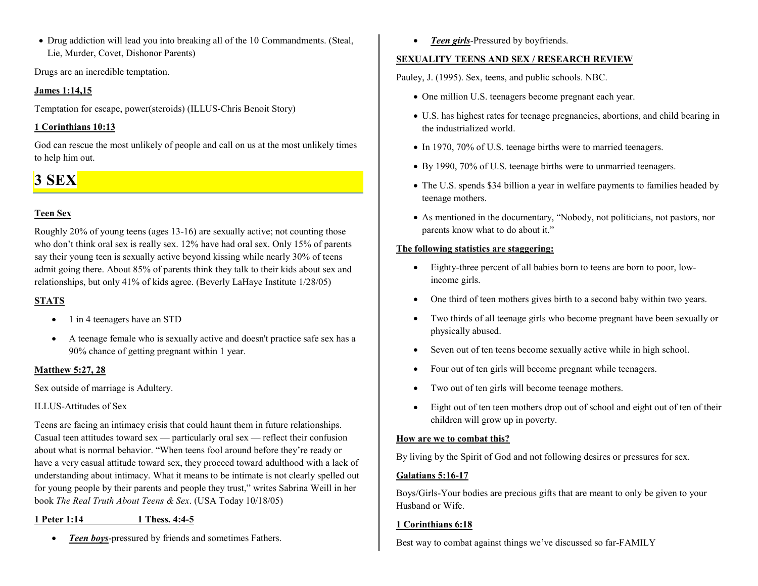• Drug addiction will lead you into breaking all of the 10 Commandments. (Steal, Lie, Murder, Covet, Dishonor Parents)

Drugs are an incredible temptation.

#### **James 1:14,15**

Temptation for escape, power(steroids) (ILLUS-Chris Benoit Story)

### **1 Corinthians 10:13**

God can rescue the most unlikely of people and call on us at the most unlikely times to help him out.

# **3 SEX**

# **Teen Sex**

Roughly 20% of young teens (ages 13-16) are sexually active; not counting those who don't think oral sex is really sex. 12% have had oral sex. Only 15% of parents say their young teen is sexually active beyond kissing while nearly 30% of teens admit going there. About 85% of parents think they talk to their kids about sex and relationships, but only 41% of kids agree. (Beverly LaHaye Institute 1/28/05)

# **STATS**

- 1 in 4 teenagers have an STD
- A teenage female who is sexually active and doesn't practice safe sex has a 90% chance of getting pregnant within 1 year.

# **Matthew 5:27, 28**

Sex outside of marriage is Adultery.

### ILLUS-Attitudes of Sex

Teens are facing an intimacy crisis that could haunt them in future relationships. Casual teen attitudes toward sex — particularly oral sex — reflect their confusion about what is normal behavior. "When teens fool around before they're ready or have a very casual attitude toward sex, they proceed toward adulthood with a lack of understanding about intimacy. What it means to be intimate is not clearly spelled out for young people by their parents and people they trust," writes Sabrina Weill in her book *The Real Truth About Teens & Sex*. (USA Today 10/18/05)

**1 Peter 1:14 1 Thess. 4:4-5**

•*Teen boys*-pressured by friends and sometimes Fathers. •*Teen girls*-Pressured by boyfriends.

### **SEXUALITY TEENS AND SEX / RESEARCH REVIEW**

Pauley, J. (1995). Sex, teens, and public schools. NBC.

- One million U.S. teenagers become pregnant each year.
- U.S. has highest rates for teenage pregnancies, abortions, and child bearing in the industrialized world.
- In 1970, 70% of U.S. teenage births were to married teenagers.
- By 1990, 70% of U.S. teenage births were to unmarried teenagers.
- The U.S. spends \$34 billion a year in welfare payments to families headed by teenage mothers.
- As mentioned in the documentary, "Nobody, not politicians, not pastors, nor parents know what to do about it."

### **The following statistics are staggering:**

- • Eighty-three percent of all babies born to teens are born to poor, lowincome girls.
- •One third of teen mothers gives birth to a second baby within two years.
- • Two thirds of all teenage girls who become pregnant have been sexually or physically abused.
- •Seven out of ten teens become sexually active while in high school.
- •Four out of ten girls will become pregnant while teenagers.
- •Two out of ten girls will become teenage mothers.
- • Eight out of ten teen mothers drop out of school and eight out of ten of their children will grow up in poverty.

# **How are we to combat this?**

By living by the Spirit of God and not following desires or pressures for sex.

### **Galatians 5:16-17**

Boys/Girls-Your bodies are precious gifts that are meant to only be given to your Husband or Wife.

### **1 Corinthians 6:18**

Best way to combat against things we've discussed so far-FAMILY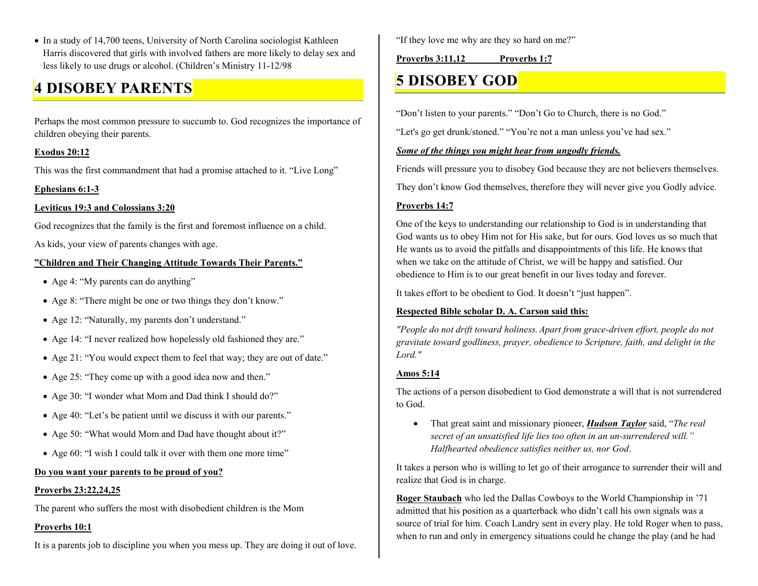• In a study of 14,700 teens, University of North Carolina sociologist Kathleen Harris discovered that girls with involved fathers are more likely to delay sex and less likely to use drugs or alcohol. (Children's Ministry 11-12/98

# **4 DISOBEY PARENTS**

Perhaps the most common pressure to succumb to. God recognizes the importance of children obeying their parents.

#### **Exodus 20:12**

This was the first commandment that had a promise attached to it. "Live Long"

### **Ephesians 6:1-3**

### **Leviticus 19:3 and Colossians 3:20**

God recognizes that the family is the first and foremost influence on a child.

As kids, your view of parents changes with age.

### **"Children and Their Changing Attitude Towards Their Parents."**

- Age 4: "My parents can do anything"
- Age 8: "There might be one or two things they don't know."
- Age 12: "Naturally, my parents don't understand."
- Age 14: "I never realized how hopelessly old fashioned they are."
- Age 21: "You would expect them to feel that way; they are out of date."
- Age 25: "They come up with a good idea now and then."
- Age 30: "I wonder what Mom and Dad think I should do?"
- Age 40: "Let's be patient until we discuss it with our parents."
- Age 50: "What would Mom and Dad have thought about it?"
- Age 60: "I wish I could talk it over with them one more time"

### **Do you want your parents to be proud of you?**

### **Proverbs 23:22,24,25**

The parent who suffers the most with disobedient children is the Mom

### **Proverbs 10:1**

It is a parents job to discipline you when you mess up. They are doing it out of love.

"If they love me why are they so hard on me?"

### **Proverbs 3:11,12 Proverbs 1:7**

# **5 DISOBEY GOD**

"Don't listen to your parents." "Don't Go to Church, there is no God."

"Let's go get drunk/stoned." "You're not a man unless you've had sex."

### *Some of the things you might hear from ungodly friends.*

Friends will pressure you to disobey God because they are not believers themselves.

They don't know God themselves, therefore they will never give you Godly advice.

# **Proverbs 14:7**

One of the keys to understanding our relationship to God is in understanding that God wants us to obey Him not for His sake, but for ours. God loves us so much that He wants us to avoid the pitfalls and disappointments of this life. He knows that when we take on the attitude of Christ, we will be happy and satisfied. Our obedience to Him is to our great benefit in our lives today and forever.

It takes effort to be obedient to God. It doesn't "just happen".

### **Respected Bible scholar D. A. Carson said this:**

*"People do not drift toward holiness.Apart from grace-driven effort, people do not gravitate toward godliness, prayer, obedience to Scripture, faith, and delight in the Lord."* 

### **Amos 5:14**

The actions of a person disobedient to God demonstrate a will that is not surrendered to God.

• That great saint and missionary pioneer, *Hudson Taylor* said, "*The real secret of an unsatisfied life lies too often in an un-surrendered will." Halfhearted obedience satisfies neither us, nor God*.

It takes a person who is willing to let go of their arrogance to surrender their will and realize that God is in charge.

**Roger Staubach** who led the Dallas Cowboys to the World Championship in '71 admitted that his position as a quarterback who didn't call his own signals was a source of trial for him. Coach Landry sent in every play. He told Roger when to pass, when to run and only in emergency situations could he change the play (and he had